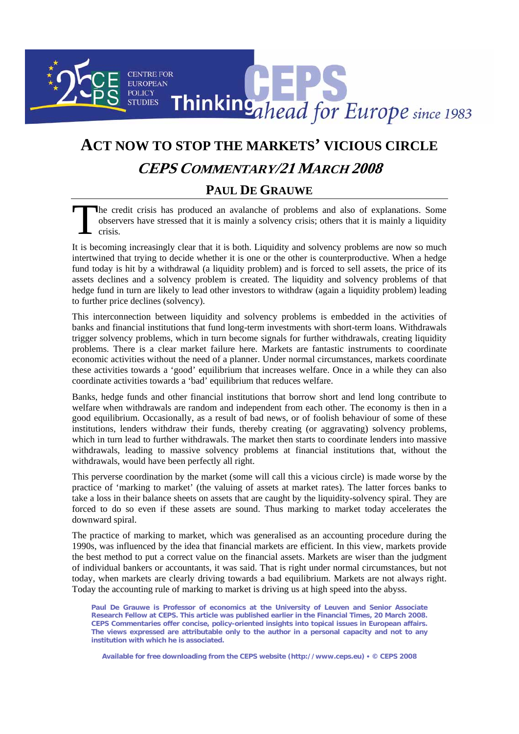## **CENTRE FOR EUROPEAN** Thinkingahead for Europe since 1983 **POLICY STUDIES**

## **ACT NOW TO STOP THE MARKETS' VICIOUS CIRCLE**

## **CEPS COMMENTARY/21 MARCH 2008**

## **PAUL DE GRAUWE**

he credit crisis has produced an avalanche of problems and also of explanations. Some observers have stressed that it is mainly a solvency crisis; others that it is mainly a liquidity crisis. The observer

It is becoming increasingly clear that it is both. Liquidity and solvency problems are now so much intertwined that trying to decide whether it is one or the other is counterproductive. When a hedge fund today is hit by a withdrawal (a liquidity problem) and is forced to sell assets, the price of its assets declines and a solvency problem is created. The liquidity and solvency problems of that hedge fund in turn are likely to lead other investors to withdraw (again a liquidity problem) leading to further price declines (solvency).

This interconnection between liquidity and solvency problems is embedded in the activities of banks and financial institutions that fund long-term investments with short-term loans. Withdrawals trigger solvency problems, which in turn become signals for further withdrawals, creating liquidity problems. There is a clear market failure here. Markets are fantastic instruments to coordinate economic activities without the need of a planner. Under normal circumstances, markets coordinate these activities towards a 'good' equilibrium that increases welfare. Once in a while they can also coordinate activities towards a 'bad' equilibrium that reduces welfare.

Banks, hedge funds and other financial institutions that borrow short and lend long contribute to welfare when withdrawals are random and independent from each other. The economy is then in a good equilibrium. Occasionally, as a result of bad news, or of foolish behaviour of some of these institutions, lenders withdraw their funds, thereby creating (or aggravating) solvency problems, which in turn lead to further withdrawals. The market then starts to coordinate lenders into massive withdrawals, leading to massive solvency problems at financial institutions that, without the withdrawals, would have been perfectly all right.

This perverse coordination by the market (some will call this a vicious circle) is made worse by the practice of 'marking to market' (the valuing of assets at market rates). The latter forces banks to take a loss in their balance sheets on assets that are caught by the liquidity-solvency spiral. They are forced to do so even if these assets are sound. Thus marking to market today accelerates the downward spiral.

The practice of marking to market, which was generalised as an accounting procedure during the 1990s, was influenced by the idea that financial markets are efficient. In this view, markets provide the best method to put a correct value on the financial assets. Markets are wiser than the judgment of individual bankers or accountants, it was said. That is right under normal circumstances, but not today, when markets are clearly driving towards a bad equilibrium. Markets are not always right. Today the accounting rule of marking to market is driving us at high speed into the abyss.

**Paul De Grauwe is Professor of economics at the University of Leuven and Senior Associate Research Fellow at CEPS. This article was published earlier in the Financial Times, 20 March 2008. CEPS Commentaries offer concise, policy-oriented insights into topical issues in European affairs. The views expressed are attributable only to the author in a personal capacity and not to any institution with which he is associated.** 

**Available for free downloading from the CEPS website (http://www.ceps.eu)** y **© CEPS 2008**